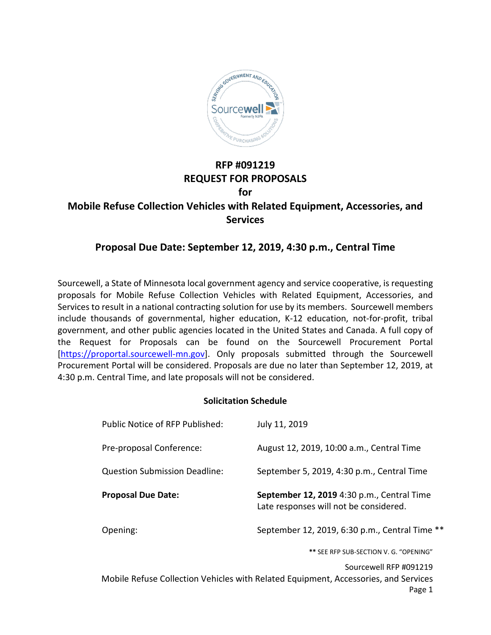

# **RFP #091219 REQUEST FOR PROPOSALS for**

# **Mobile Refuse Collection Vehicles with Related Equipment, Accessories, and Services**

# **Proposal Due Date: September 12, 2019, 4:30 p.m., Central Time**

Sourcewell, a State of Minnesota local government agency and service cooperative, is requesting proposals for Mobile Refuse Collection Vehicles with Related Equipment, Accessories, and Services to result in a national contracting solution for use by its members. Sourcewell members include thousands of governmental, higher education, K-12 education, not-for-profit, tribal government, and other public agencies located in the United States and Canada. A full copy of the Request for Proposals can be found on the Sourcewell Procurement Portal [\[https://proportal.sourcewell-mn.gov\]](https://proportal.sourcewell-mn.gov/). Only proposals submitted through the Sourcewell Procurement Portal will be considered. Proposals are due no later than September 12, 2019, at 4:30 p.m. Central Time, and late proposals will not be considered.

#### **Solicitation Schedule**

| Public Notice of RFP Published:      | July 11, 2019                                                                        |
|--------------------------------------|--------------------------------------------------------------------------------------|
| Pre-proposal Conference:             | August 12, 2019, 10:00 a.m., Central Time                                            |
| <b>Question Submission Deadline:</b> | September 5, 2019, 4:30 p.m., Central Time                                           |
| <b>Proposal Due Date:</b>            | September 12, 2019 4:30 p.m., Central Time<br>Late responses will not be considered. |
| Opening:                             | September 12, 2019, 6:30 p.m., Central Time **                                       |
|                                      | ** SEE RFP SUB-SECTION V. G. "OPENING"                                               |

Sourcewell RFP #091219 Mobile Refuse Collection Vehicles with Related Equipment, Accessories, and Services Page 1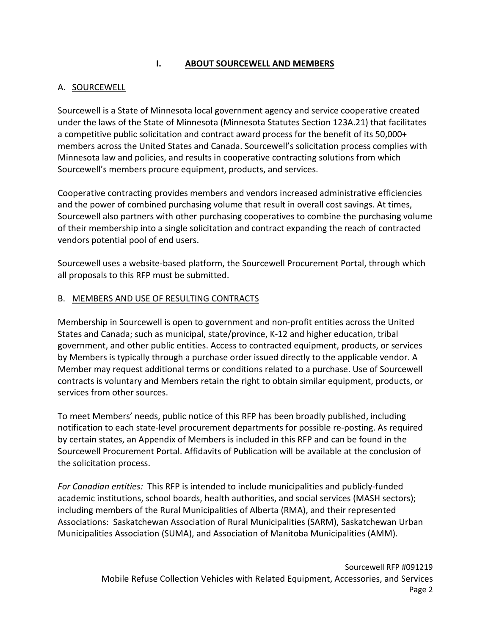## **I. ABOUT SOURCEWELL AND MEMBERS**

## A. SOURCEWELL

Sourcewell is a State of Minnesota local government agency and service cooperative created under the laws of the State of Minnesota (Minnesota Statutes Section 123A.21) that facilitates a competitive public solicitation and contract award process for the benefit of its 50,000+ members across the United States and Canada. Sourcewell's solicitation process complies with Minnesota law and policies, and results in cooperative contracting solutions from which Sourcewell's members procure equipment, products, and services.

Cooperative contracting provides members and vendors increased administrative efficiencies and the power of combined purchasing volume that result in overall cost savings. At times, Sourcewell also partners with other purchasing cooperatives to combine the purchasing volume of their membership into a single solicitation and contract expanding the reach of contracted vendors potential pool of end users.

Sourcewell uses a website-based platform, the Sourcewell Procurement Portal, through which all proposals to this RFP must be submitted.

#### B. MEMBERS AND USE OF RESULTING CONTRACTS

Membership in Sourcewell is open to government and non-profit entities across the United States and Canada; such as municipal, state/province, K-12 and higher education, tribal government, and other public entities. Access to contracted equipment, products, or services by Members is typically through a purchase order issued directly to the applicable vendor. A Member may request additional terms or conditions related to a purchase. Use of Sourcewell contracts is voluntary and Members retain the right to obtain similar equipment, products, or services from other sources.

To meet Members' needs, public notice of this RFP has been broadly published, including notification to each state-level procurement departments for possible re-posting. As required by certain states, an Appendix of Members is included in this RFP and can be found in the Sourcewell Procurement Portal. Affidavits of Publication will be available at the conclusion of the solicitation process.

*For Canadian entities:* This RFP is intended to include municipalities and publicly-funded academic institutions, school boards, health authorities, and social services (MASH sectors); including members of the Rural Municipalities of Alberta (RMA), and their represented Associations: Saskatchewan Association of Rural Municipalities (SARM), Saskatchewan Urban Municipalities Association (SUMA), and Association of Manitoba Municipalities (AMM).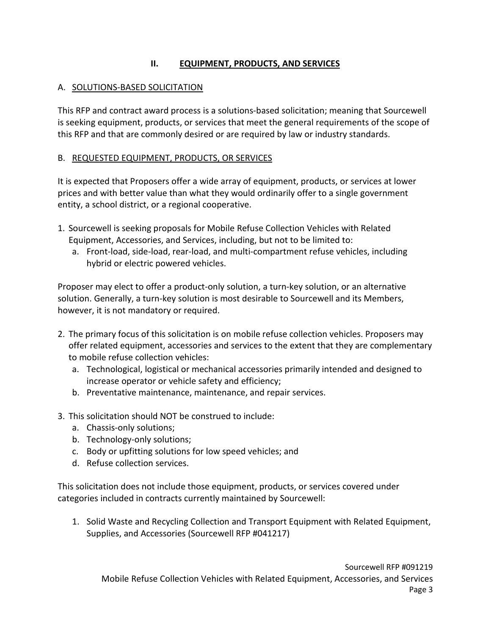# **II. EQUIPMENT, PRODUCTS, AND SERVICES**

## A. SOLUTIONS-BASED SOLICITATION

This RFP and contract award process is a solutions-based solicitation; meaning that Sourcewell is seeking equipment, products, or services that meet the general requirements of the scope of this RFP and that are commonly desired or are required by law or industry standards.

## B. REQUESTED EQUIPMENT, PRODUCTS, OR SERVICES

It is expected that Proposers offer a wide array of equipment, products, or services at lower prices and with better value than what they would ordinarily offer to a single government entity, a school district, or a regional cooperative.

- 1. Sourcewell is seeking proposals for Mobile Refuse Collection Vehicles with Related Equipment, Accessories, and Services, including, but not to be limited to:
	- a. Front-load, side-load, rear-load, and multi-compartment refuse vehicles, including hybrid or electric powered vehicles.

Proposer may elect to offer a product-only solution, a turn-key solution, or an alternative solution. Generally, a turn-key solution is most desirable to Sourcewell and its Members, however, it is not mandatory or required.

- 2. The primary focus of this solicitation is on mobile refuse collection vehicles. Proposers may offer related equipment, accessories and services to the extent that they are complementary to mobile refuse collection vehicles:
	- a. Technological, logistical or mechanical accessories primarily intended and designed to increase operator or vehicle safety and efficiency;
	- b. Preventative maintenance, maintenance, and repair services.
- 3. This solicitation should NOT be construed to include:
	- a. Chassis-only solutions;
	- b. Technology-only solutions;
	- c. Body or upfitting solutions for low speed vehicles; and
	- d. Refuse collection services.

This solicitation does not include those equipment, products, or services covered under categories included in contracts currently maintained by Sourcewell:

1. Solid Waste and Recycling Collection and Transport Equipment with Related Equipment, Supplies, and Accessories (Sourcewell RFP #041217)

Sourcewell RFP #091219 Mobile Refuse Collection Vehicles with Related Equipment, Accessories, and Services Page 3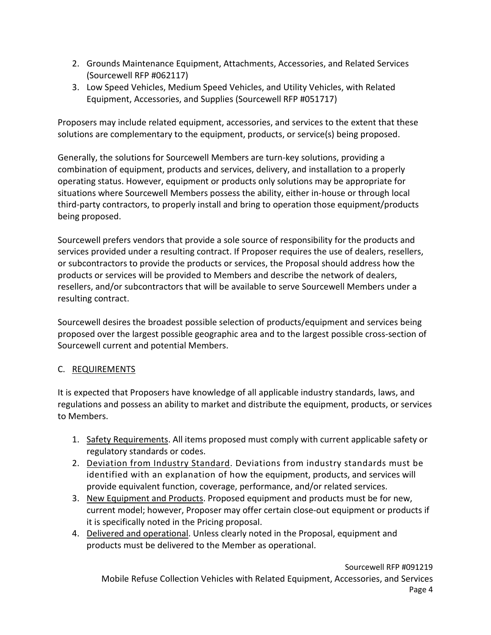- 2. Grounds Maintenance Equipment, Attachments, Accessories, and Related Services (Sourcewell RFP #062117)
- 3. Low Speed Vehicles, Medium Speed Vehicles, and Utility Vehicles, with Related Equipment, Accessories, and Supplies (Sourcewell RFP #051717)

Proposers may include related equipment, accessories, and services to the extent that these solutions are complementary to the equipment, products, or service(s) being proposed.

Generally, the solutions for Sourcewell Members are turn-key solutions, providing a combination of equipment, products and services, delivery, and installation to a properly operating status. However, equipment or products only solutions may be appropriate for situations where Sourcewell Members possess the ability, either in-house or through local third-party contractors, to properly install and bring to operation those equipment/products being proposed.

Sourcewell prefers vendors that provide a sole source of responsibility for the products and services provided under a resulting contract. If Proposer requires the use of dealers, resellers, or subcontractors to provide the products or services, the Proposal should address how the products or services will be provided to Members and describe the network of dealers, resellers, and/or subcontractors that will be available to serve Sourcewell Members under a resulting contract.

Sourcewell desires the broadest possible selection of products/equipment and services being proposed over the largest possible geographic area and to the largest possible cross-section of Sourcewell current and potential Members.

## C. REQUIREMENTS

It is expected that Proposers have knowledge of all applicable industry standards, laws, and regulations and possess an ability to market and distribute the equipment, products, or services to Members.

- 1. Safety Requirements. All items proposed must comply with current applicable safety or regulatory standards or codes.
- 2. Deviation from Industry Standard. Deviations from industry standards must be identified with an explanation of how the equipment, products, and services will provide equivalent function, coverage, performance, and/or related services.
- 3. New Equipment and Products. Proposed equipment and products must be for new, current model; however, Proposer may offer certain close-out equipment or products if it is specifically noted in the Pricing proposal.
- 4. Delivered and operational. Unless clearly noted in the Proposal, equipment and products must be delivered to the Member as operational.

Sourcewell RFP #091219 Mobile Refuse Collection Vehicles with Related Equipment, Accessories, and Services Page 4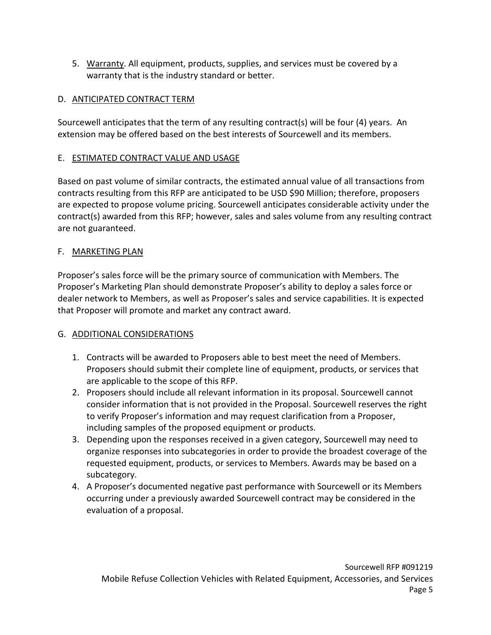5. Warranty. All equipment, products, supplies, and services must be covered by a warranty that is the industry standard or better.

# D. ANTICIPATED CONTRACT TERM

Sourcewell anticipates that the term of any resulting contract(s) will be four (4) years. An extension may be offered based on the best interests of Sourcewell and its members.

## E. ESTIMATED CONTRACT VALUE AND USAGE

Based on past volume of similar contracts, the estimated annual value of all transactions from contracts resulting from this RFP are anticipated to be USD \$90 Million; therefore, proposers are expected to propose volume pricing. Sourcewell anticipates considerable activity under the contract(s) awarded from this RFP; however, sales and sales volume from any resulting contract are not guaranteed.

## F. MARKETING PLAN

Proposer's sales force will be the primary source of communication with Members. The Proposer's Marketing Plan should demonstrate Proposer's ability to deploy a sales force or dealer network to Members, as well as Proposer's sales and service capabilities. It is expected that Proposer will promote and market any contract award.

# G. ADDITIONAL CONSIDERATIONS

- 1. Contracts will be awarded to Proposers able to best meet the need of Members. Proposers should submit their complete line of equipment, products, or services that are applicable to the scope of this RFP.
- 2. Proposers should include all relevant information in its proposal. Sourcewell cannot consider information that is not provided in the Proposal. Sourcewell reserves the right to verify Proposer's information and may request clarification from a Proposer, including samples of the proposed equipment or products.
- 3. Depending upon the responses received in a given category, Sourcewell may need to organize responses into subcategories in order to provide the broadest coverage of the requested equipment, products, or services to Members. Awards may be based on a subcategory.
- 4. A Proposer's documented negative past performance with Sourcewell or its Members occurring under a previously awarded Sourcewell contract may be considered in the evaluation of a proposal.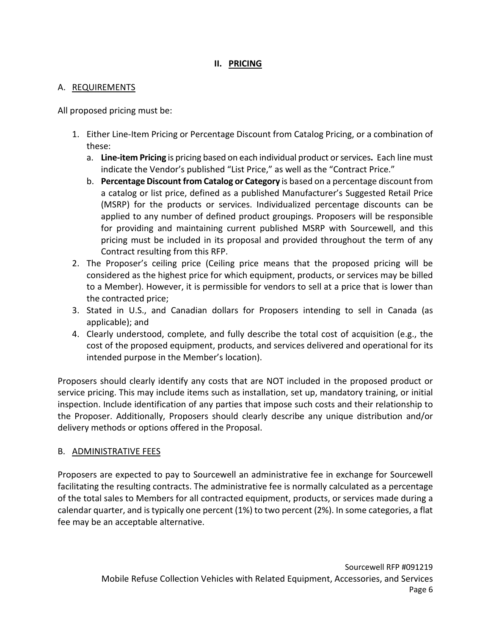## **II. PRICING**

#### A. REQUIREMENTS

All proposed pricing must be:

- 1. Either Line-Item Pricing or Percentage Discount from Catalog Pricing, or a combination of these:
	- a. **Line-item Pricing** is pricing based on each individual product or services**.** Each line must indicate the Vendor's published "List Price," as well as the "Contract Price."
	- b. **Percentage Discount from Catalog or Category** is based on a percentage discount from a catalog or list price, defined as a published Manufacturer's Suggested Retail Price (MSRP) for the products or services. Individualized percentage discounts can be applied to any number of defined product groupings. Proposers will be responsible for providing and maintaining current published MSRP with Sourcewell, and this pricing must be included in its proposal and provided throughout the term of any Contract resulting from this RFP.
- 2. The Proposer's ceiling price (Ceiling price means that the proposed pricing will be considered as the highest price for which equipment, products, or services may be billed to a Member). However, it is permissible for vendors to sell at a price that is lower than the contracted price;
- 3. Stated in U.S., and Canadian dollars for Proposers intending to sell in Canada (as applicable); and
- 4. Clearly understood, complete, and fully describe the total cost of acquisition (e.g., the cost of the proposed equipment, products, and services delivered and operational for its intended purpose in the Member's location).

Proposers should clearly identify any costs that are NOT included in the proposed product or service pricing. This may include items such as installation, set up, mandatory training, or initial inspection. Include identification of any parties that impose such costs and their relationship to the Proposer. Additionally, Proposers should clearly describe any unique distribution and/or delivery methods or options offered in the Proposal.

## B. ADMINISTRATIVE FEES

Proposers are expected to pay to Sourcewell an administrative fee in exchange for Sourcewell facilitating the resulting contracts. The administrative fee is normally calculated as a percentage of the total sales to Members for all contracted equipment, products, or services made during a calendar quarter, and is typically one percent (1%) to two percent (2%). In some categories, a flat fee may be an acceptable alternative.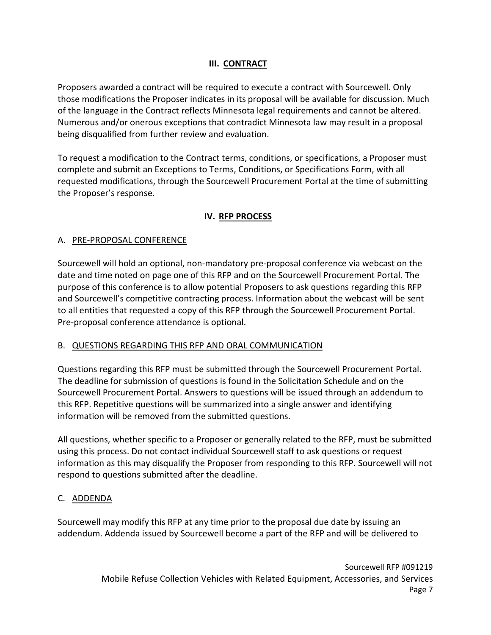## **III. CONTRACT**

Proposers awarded a contract will be required to execute a contract with Sourcewell. Only those modifications the Proposer indicates in its proposal will be available for discussion. Much of the language in the Contract reflects Minnesota legal requirements and cannot be altered. Numerous and/or onerous exceptions that contradict Minnesota law may result in a proposal being disqualified from further review and evaluation.

To request a modification to the Contract terms, conditions, or specifications, a Proposer must complete and submit an Exceptions to Terms, Conditions, or Specifications Form, with all requested modifications, through the Sourcewell Procurement Portal at the time of submitting the Proposer's response.

## **IV. RFP PROCESS**

## A. PRE-PROPOSAL CONFERENCE

Sourcewell will hold an optional, non-mandatory pre-proposal conference via webcast on the date and time noted on page one of this RFP and on the Sourcewell Procurement Portal. The purpose of this conference is to allow potential Proposers to ask questions regarding this RFP and Sourcewell's competitive contracting process. Information about the webcast will be sent to all entities that requested a copy of this RFP through the Sourcewell Procurement Portal. Pre-proposal conference attendance is optional.

#### B. QUESTIONS REGARDING THIS RFP AND ORAL COMMUNICATION

Questions regarding this RFP must be submitted through the Sourcewell Procurement Portal. The deadline for submission of questions is found in the Solicitation Schedule and on the Sourcewell Procurement Portal. Answers to questions will be issued through an addendum to this RFP. Repetitive questions will be summarized into a single answer and identifying information will be removed from the submitted questions.

All questions, whether specific to a Proposer or generally related to the RFP, must be submitted using this process. Do not contact individual Sourcewell staff to ask questions or request information as this may disqualify the Proposer from responding to this RFP. Sourcewell will not respond to questions submitted after the deadline.

## C. ADDENDA

Sourcewell may modify this RFP at any time prior to the proposal due date by issuing an addendum. Addenda issued by Sourcewell become a part of the RFP and will be delivered to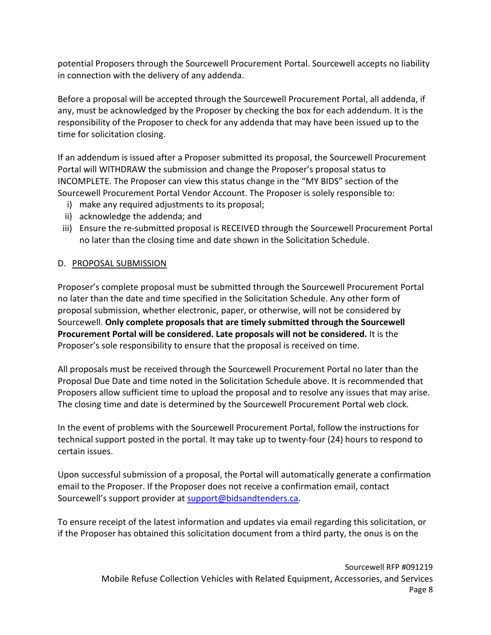potential Proposers through the Sourcewell Procurement Portal. Sourcewell accepts no liability in connection with the delivery of any addenda.

Before a proposal will be accepted through the Sourcewell Procurement Portal, all addenda, if any, must be acknowledged by the Proposer by checking the box for each addendum. It is the responsibility of the Proposer to check for any addenda that may have been issued up to the time for solicitation closing.

If an addendum is issued after a Proposer submitted its proposal, the Sourcewell Procurement Portal will WITHDRAW the submission and change the Proposer's proposal status to INCOMPLETE. The Proposer can view this status change in the "MY BIDS" section of the Sourcewell Procurement Portal Vendor Account. The Proposer is solely responsible to:

- i) make any required adjustments to its proposal;
- ii) acknowledge the addenda; and
- iii) Ensure the re-submitted proposal is RECEIVED through the Sourcewell Procurement Portal no later than the closing time and date shown in the Solicitation Schedule.

## D. PROPOSAL SUBMISSION

Proposer's complete proposal must be submitted through the Sourcewell Procurement Portal no later than the date and time specified in the Solicitation Schedule. Any other form of proposal submission, whether electronic, paper, or otherwise, will not be considered by Sourcewell. **Only complete proposals that are timely submitted through the Sourcewell Procurement Portal will be considered. Late proposals will not be considered.** It is the Proposer's sole responsibility to ensure that the proposal is received on time.

All proposals must be received through the Sourcewell Procurement Portal no later than the Proposal Due Date and time noted in the Solicitation Schedule above. It is recommended that Proposers allow sufficient time to upload the proposal and to resolve any issues that may arise. The closing time and date is determined by the Sourcewell Procurement Portal web clock.

In the event of problems with the Sourcewell Procurement Portal, follow the instructions for technical support posted in the portal. It may take up to twenty-four (24) hours to respond to certain issues.

Upon successful submission of a proposal, the Portal will automatically generate a confirmation email to the Proposer. If the Proposer does not receive a confirmation email, contact Sourcewell's support provider at [support@bidsandtenders.ca.](mailto:support@bidsandtenders.ca)

To ensure receipt of the latest information and updates via email regarding this solicitation, or if the Proposer has obtained this solicitation document from a third party, the onus is on the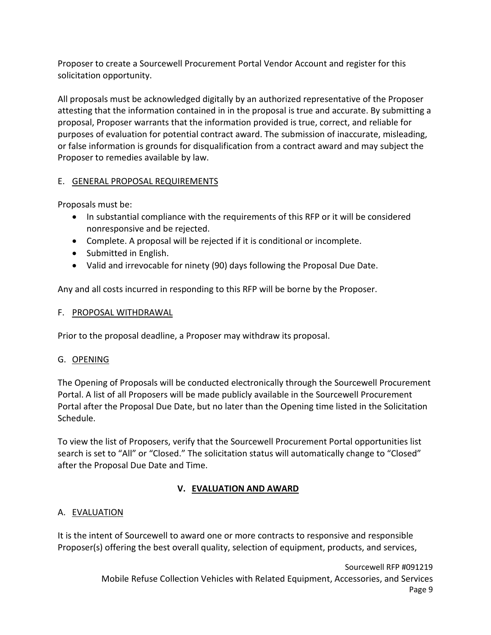Proposer to create a Sourcewell Procurement Portal Vendor Account and register for this solicitation opportunity.

All proposals must be acknowledged digitally by an authorized representative of the Proposer attesting that the information contained in in the proposal is true and accurate. By submitting a proposal, Proposer warrants that the information provided is true, correct, and reliable for purposes of evaluation for potential contract award. The submission of inaccurate, misleading, or false information is grounds for disqualification from a contract award and may subject the Proposer to remedies available by law.

## E. GENERAL PROPOSAL REQUIREMENTS

Proposals must be:

- In substantial compliance with the requirements of this RFP or it will be considered nonresponsive and be rejected.
- Complete. A proposal will be rejected if it is conditional or incomplete.
- Submitted in English.
- Valid and irrevocable for ninety (90) days following the Proposal Due Date.

Any and all costs incurred in responding to this RFP will be borne by the Proposer.

#### F. PROPOSAL WITHDRAWAL

Prior to the proposal deadline, a Proposer may withdraw its proposal.

#### G. OPENING

The Opening of Proposals will be conducted electronically through the Sourcewell Procurement Portal. A list of all Proposers will be made publicly available in the Sourcewell Procurement Portal after the Proposal Due Date, but no later than the Opening time listed in the Solicitation Schedule.

To view the list of Proposers, verify that the Sourcewell Procurement Portal opportunities list search is set to "All" or "Closed." The solicitation status will automatically change to "Closed" after the Proposal Due Date and Time.

## **V. EVALUATION AND AWARD**

## A. EVALUATION

It is the intent of Sourcewell to award one or more contracts to responsive and responsible Proposer(s) offering the best overall quality, selection of equipment, products, and services,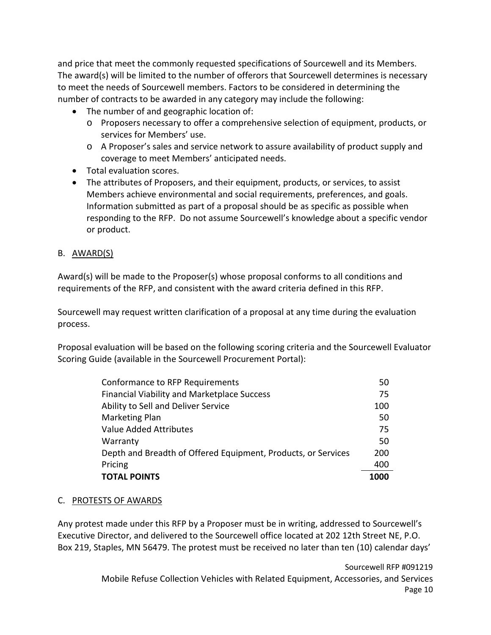and price that meet the commonly requested specifications of Sourcewell and its Members. The award(s) will be limited to the number of offerors that Sourcewell determines is necessary to meet the needs of Sourcewell members. Factors to be considered in determining the number of contracts to be awarded in any category may include the following:

- The number of and geographic location of:
	- o Proposers necessary to offer a comprehensive selection of equipment, products, or services for Members' use.
	- o A Proposer's sales and service network to assure availability of product supply and coverage to meet Members' anticipated needs.
- Total evaluation scores.
- The attributes of Proposers, and their equipment, products, or services, to assist Members achieve environmental and social requirements, preferences, and goals. Information submitted as part of a proposal should be as specific as possible when responding to the RFP. Do not assume Sourcewell's knowledge about a specific vendor or product.

## B. AWARD(S)

Award(s) will be made to the Proposer(s) whose proposal conforms to all conditions and requirements of the RFP, and consistent with the award criteria defined in this RFP.

Sourcewell may request written clarification of a proposal at any time during the evaluation process.

Proposal evaluation will be based on the following scoring criteria and the Sourcewell Evaluator Scoring Guide (available in the Sourcewell Procurement Portal):

| <b>TOTAL POINTS</b>                                           | 1000 |
|---------------------------------------------------------------|------|
| Pricing                                                       | 400  |
| Depth and Breadth of Offered Equipment, Products, or Services |      |
| Warranty                                                      | 50   |
| Value Added Attributes                                        | 75   |
| <b>Marketing Plan</b>                                         | 50   |
| Ability to Sell and Deliver Service                           |      |
| <b>Financial Viability and Marketplace Success</b>            |      |
| Conformance to RFP Requirements                               |      |

## C. PROTESTS OF AWARDS

Any protest made under this RFP by a Proposer must be in writing, addressed to Sourcewell's Executive Director, and delivered to the Sourcewell office located at 202 12th Street NE, P.O. Box 219, Staples, MN 56479. The protest must be received no later than ten (10) calendar days'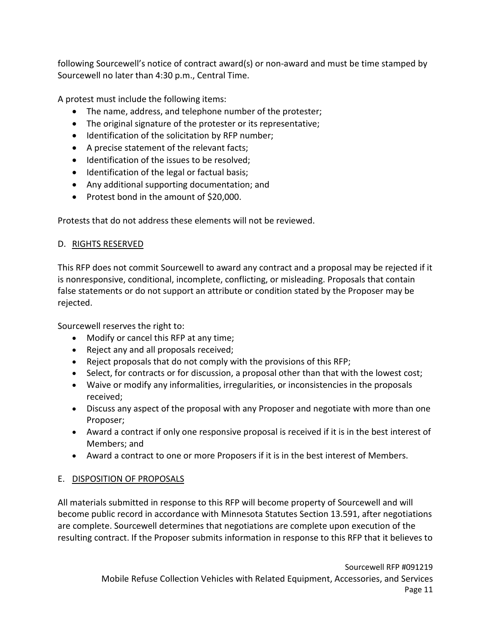following Sourcewell's notice of contract award(s) or non-award and must be time stamped by Sourcewell no later than 4:30 p.m., Central Time.

A protest must include the following items:

- The name, address, and telephone number of the protester;
- The original signature of the protester or its representative;
- Identification of the solicitation by RFP number;
- A precise statement of the relevant facts;
- Identification of the issues to be resolved;
- Identification of the legal or factual basis;
- Any additional supporting documentation; and
- Protest bond in the amount of \$20,000.

Protests that do not address these elements will not be reviewed.

# D. RIGHTS RESERVED

This RFP does not commit Sourcewell to award any contract and a proposal may be rejected if it is nonresponsive, conditional, incomplete, conflicting, or misleading. Proposals that contain false statements or do not support an attribute or condition stated by the Proposer may be rejected.

Sourcewell reserves the right to:

- Modify or cancel this RFP at any time;
- Reject any and all proposals received;
- Reject proposals that do not comply with the provisions of this RFP;
- Select, for contracts or for discussion, a proposal other than that with the lowest cost;
- Waive or modify any informalities, irregularities, or inconsistencies in the proposals received;
- Discuss any aspect of the proposal with any Proposer and negotiate with more than one Proposer;
- Award a contract if only one responsive proposal is received if it is in the best interest of Members; and
- Award a contract to one or more Proposers if it is in the best interest of Members.

# E. DISPOSITION OF PROPOSALS

All materials submitted in response to this RFP will become property of Sourcewell and will become public record in accordance with Minnesota Statutes Section 13.591, after negotiations are complete. Sourcewell determines that negotiations are complete upon execution of the resulting contract. If the Proposer submits information in response to this RFP that it believes to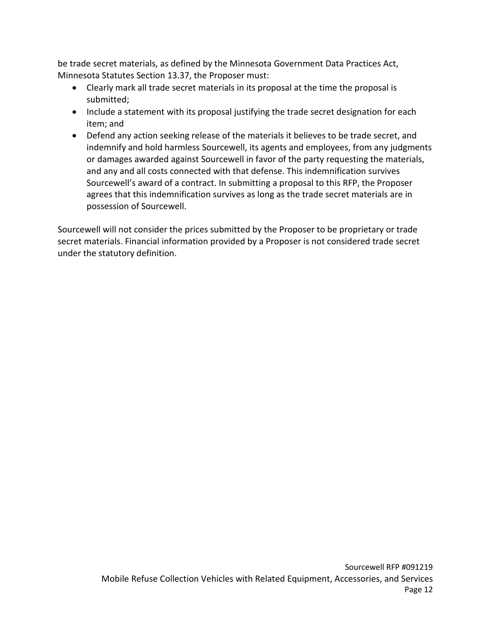be trade secret materials, as defined by the Minnesota Government Data Practices Act, Minnesota Statutes Section 13.37, the Proposer must:

- Clearly mark all trade secret materials in its proposal at the time the proposal is submitted;
- Include a statement with its proposal justifying the trade secret designation for each item; and
- Defend any action seeking release of the materials it believes to be trade secret, and indemnify and hold harmless Sourcewell, its agents and employees, from any judgments or damages awarded against Sourcewell in favor of the party requesting the materials, and any and all costs connected with that defense. This indemnification survives Sourcewell's award of a contract. In submitting a proposal to this RFP, the Proposer agrees that this indemnification survives as long as the trade secret materials are in possession of Sourcewell.

Sourcewell will not consider the prices submitted by the Proposer to be proprietary or trade secret materials. Financial information provided by a Proposer is not considered trade secret under the statutory definition.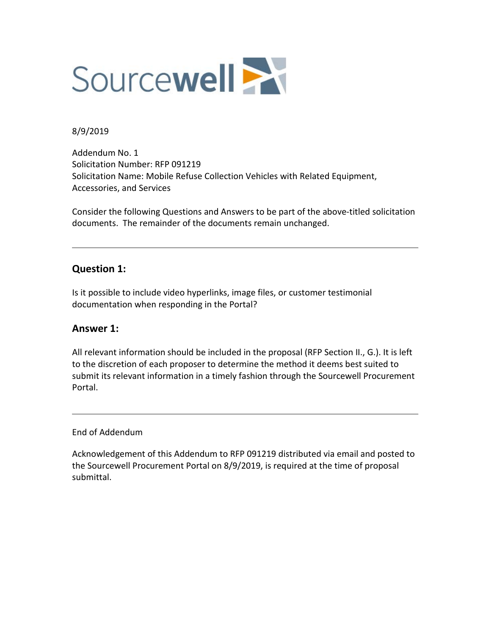

#### 8/9/2019

Addendum No. 1 Solicitation Number: RFP 091219 Solicitation Name: Mobile Refuse Collection Vehicles with Related Equipment, Accessories, and Services

Consider the following Questions and Answers to be part of the above-titled solicitation documents. The remainder of the documents remain unchanged.

## **Question 1:**

Is it possible to include video hyperlinks, image files, or customer testimonial documentation when responding in the Portal?

## **Answer 1:**

All relevant information should be included in the proposal (RFP Section II., G.). It is left to the discretion of each proposer to determine the method it deems best suited to submit its relevant information in a timely fashion through the Sourcewell Procurement Portal.

End of Addendum

Acknowledgement of this Addendum to RFP 091219 distributed via email and posted to the Sourcewell Procurement Portal on 8/9/2019, is required at the time of proposal submittal.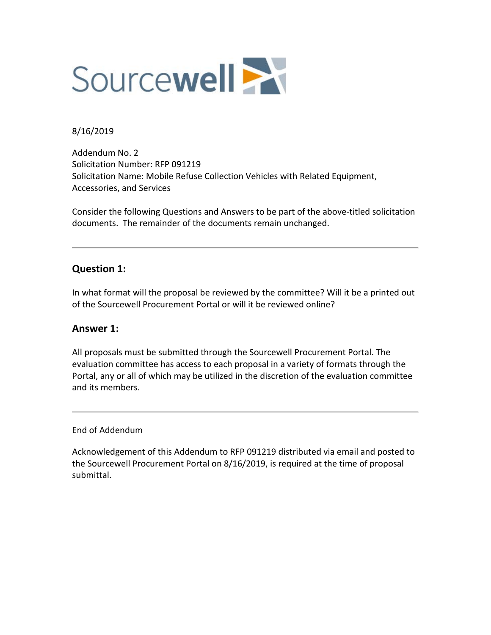

#### 8/16/2019

Addendum No. 2 Solicitation Number: RFP 091219 Solicitation Name: Mobile Refuse Collection Vehicles with Related Equipment, Accessories, and Services

Consider the following Questions and Answers to be part of the above-titled solicitation documents. The remainder of the documents remain unchanged.

# **Question 1:**

In what format will the proposal be reviewed by the committee? Will it be a printed out of the Sourcewell Procurement Portal or will it be reviewed online?

## **Answer 1:**

All proposals must be submitted through the Sourcewell Procurement Portal. The evaluation committee has access to each proposal in a variety of formats through the Portal, any or all of which may be utilized in the discretion of the evaluation committee and its members.

#### End of Addendum

Acknowledgement of this Addendum to RFP 091219 distributed via email and posted to the Sourcewell Procurement Portal on 8/16/2019, is required at the time of proposal submittal.